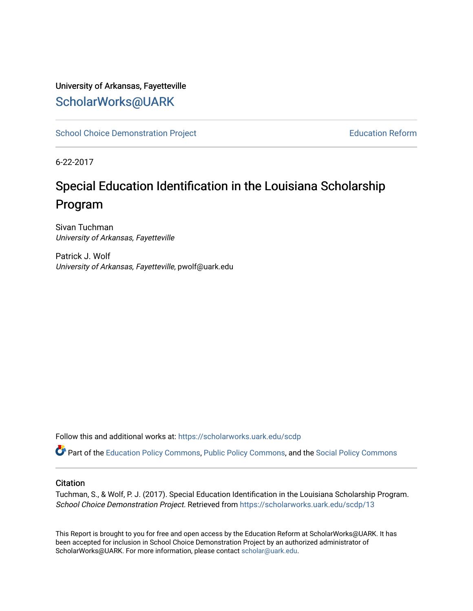### University of Arkansas, Fayetteville [ScholarWorks@UARK](https://scholarworks.uark.edu/)

[School Choice Demonstration Project](https://scholarworks.uark.edu/scdp) **Education Reform** Education Reform

6-22-2017

# Special Education Identification in the Louisiana Scholarship Program

Sivan Tuchman University of Arkansas, Fayetteville

Patrick J. Wolf University of Arkansas, Fayetteville, pwolf@uark.edu

Follow this and additional works at: [https://scholarworks.uark.edu/scdp](https://scholarworks.uark.edu/scdp?utm_source=scholarworks.uark.edu%2Fscdp%2F13&utm_medium=PDF&utm_campaign=PDFCoverPages) 

Part of the [Education Policy Commons](http://network.bepress.com/hgg/discipline/1026?utm_source=scholarworks.uark.edu%2Fscdp%2F13&utm_medium=PDF&utm_campaign=PDFCoverPages), [Public Policy Commons](http://network.bepress.com/hgg/discipline/400?utm_source=scholarworks.uark.edu%2Fscdp%2F13&utm_medium=PDF&utm_campaign=PDFCoverPages), and the [Social Policy Commons](http://network.bepress.com/hgg/discipline/1030?utm_source=scholarworks.uark.edu%2Fscdp%2F13&utm_medium=PDF&utm_campaign=PDFCoverPages)

#### **Citation**

Tuchman, S., & Wolf, P. J. (2017). Special Education Identification in the Louisiana Scholarship Program. School Choice Demonstration Project. Retrieved from [https://scholarworks.uark.edu/scdp/13](https://scholarworks.uark.edu/scdp/13?utm_source=scholarworks.uark.edu%2Fscdp%2F13&utm_medium=PDF&utm_campaign=PDFCoverPages) 

This Report is brought to you for free and open access by the Education Reform at ScholarWorks@UARK. It has been accepted for inclusion in School Choice Demonstration Project by an authorized administrator of ScholarWorks@UARK. For more information, please contact [scholar@uark.edu](mailto:scholar@uark.edu).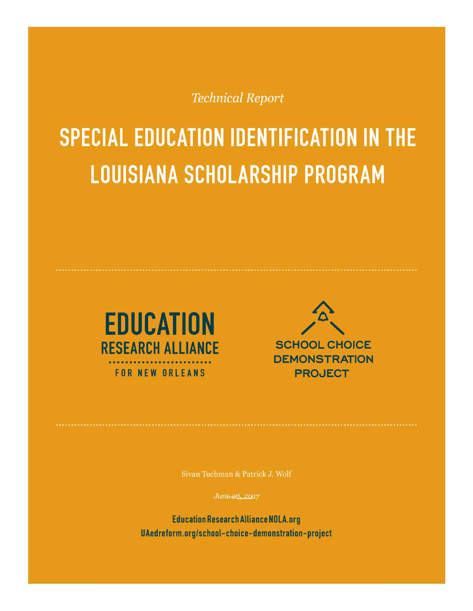**Technical Report** 

# **SPECIAL EDUCATION IDENTIFICATION IN THE LOUISIANA SCHOLARSHIP PROGRAM**





Sivan Tuchman & Patrick J. Wolf

*June 26, 2017* 

Education Research Alliance NOLA.org UAedreform.org/school-choice-demonstration-project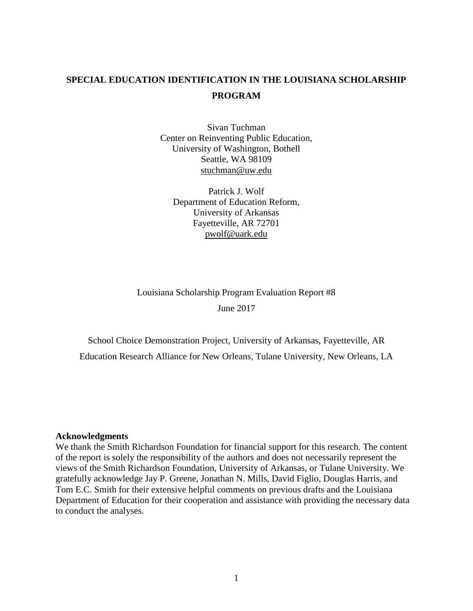## **SPECIAL EDUCATION IDENTIFICATION IN THE LOUISIANA SCHOLARSHIP PROGRAM**

Sivan Tuchman Center on Reinventing Public Education, University of Washington, Bothell Seattle, WA 98109 stuchman@uw.edu

Patrick J. Wolf Department of Education Reform, University of Arkansas Fayetteville, AR 72701 pwolf@uark.edu

Louisiana Scholarship Program Evaluation Report #8 June 2017

School Choice Demonstration Project, University of Arkansas, Fayetteville, AR Education Research Alliance for New Orleans, Tulane University, New Orleans, LA

#### **Acknowledgments**

We thank the Smith Richardson Foundation for financial support for this research. The content of the report is solely the responsibility of the authors and does not necessarily represent the views of the Smith Richardson Foundation, University of Arkansas, or Tulane University. We gratefully acknowledge Jay P. Greene, Jonathan N. Mills, David Figlio, Douglas Harris, and Tom E.C. Smith for their extensive helpful comments on previous drafts and the Louisiana Department of Education for their cooperation and assistance with providing the necessary data to conduct the analyses.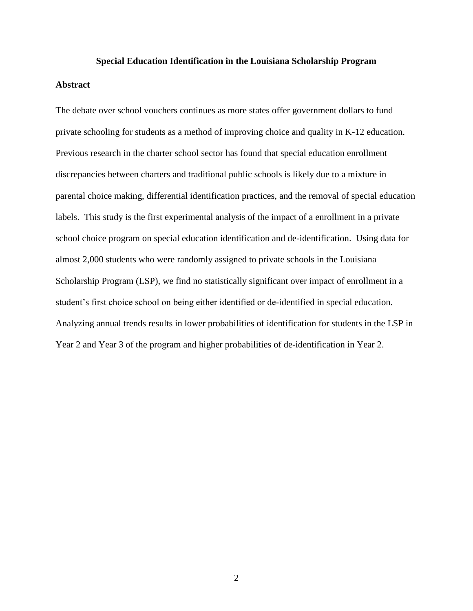#### **Special Education Identification in the Louisiana Scholarship Program**

#### **Abstract**

The debate over school vouchers continues as more states offer government dollars to fund private schooling for students as a method of improving choice and quality in K-12 education. Previous research in the charter school sector has found that special education enrollment discrepancies between charters and traditional public schools is likely due to a mixture in parental choice making, differential identification practices, and the removal of special education labels. This study is the first experimental analysis of the impact of a enrollment in a private school choice program on special education identification and de-identification. Using data for almost 2,000 students who were randomly assigned to private schools in the Louisiana Scholarship Program (LSP), we find no statistically significant over impact of enrollment in a student's first choice school on being either identified or de-identified in special education. Analyzing annual trends results in lower probabilities of identification for students in the LSP in Year 2 and Year 3 of the program and higher probabilities of de-identification in Year 2.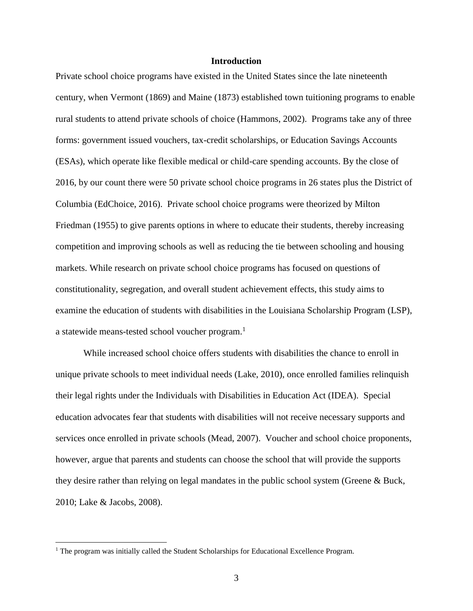#### **Introduction**

Private school choice programs have existed in the United States since the late nineteenth century, when Vermont (1869) and Maine (1873) established town tuitioning programs to enable rural students to attend private schools of choice (Hammons, 2002). Programs take any of three forms: government issued vouchers, tax-credit scholarships, or Education Savings Accounts (ESAs), which operate like flexible medical or child-care spending accounts. By the close of 2016, by our count there were 50 private school choice programs in 26 states plus the District of Columbia (EdChoice, 2016). Private school choice programs were theorized by Milton Friedman (1955) to give parents options in where to educate their students, thereby increasing competition and improving schools as well as reducing the tie between schooling and housing markets. While research on private school choice programs has focused on questions of constitutionality, segregation, and overall student achievement effects, this study aims to examine the education of students with disabilities in the Louisiana Scholarship Program (LSP), a statewide means-tested school voucher program.<sup>1</sup>

While increased school choice offers students with disabilities the chance to enroll in unique private schools to meet individual needs (Lake, 2010), once enrolled families relinquish their legal rights under the Individuals with Disabilities in Education Act (IDEA). Special education advocates fear that students with disabilities will not receive necessary supports and services once enrolled in private schools (Mead, 2007). Voucher and school choice proponents, however, argue that parents and students can choose the school that will provide the supports they desire rather than relying on legal mandates in the public school system (Greene & Buck, 2010; Lake & Jacobs, 2008).

<sup>&</sup>lt;sup>1</sup> The program was initially called the Student Scholarships for Educational Excellence Program.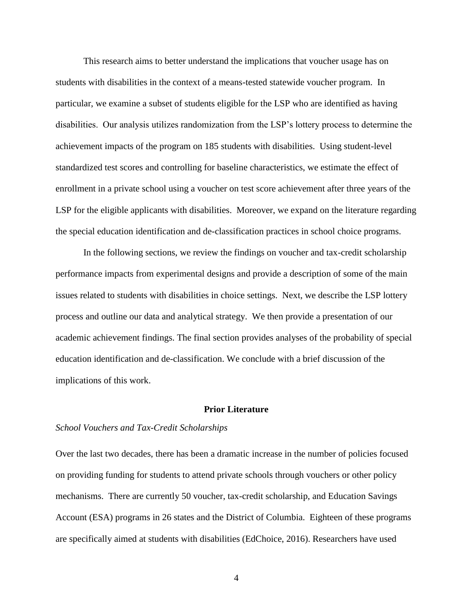This research aims to better understand the implications that voucher usage has on students with disabilities in the context of a means-tested statewide voucher program. In particular, we examine a subset of students eligible for the LSP who are identified as having disabilities. Our analysis utilizes randomization from the LSP's lottery process to determine the achievement impacts of the program on 185 students with disabilities. Using student-level standardized test scores and controlling for baseline characteristics, we estimate the effect of enrollment in a private school using a voucher on test score achievement after three years of the LSP for the eligible applicants with disabilities. Moreover, we expand on the literature regarding the special education identification and de-classification practices in school choice programs.

In the following sections, we review the findings on voucher and tax-credit scholarship performance impacts from experimental designs and provide a description of some of the main issues related to students with disabilities in choice settings. Next, we describe the LSP lottery process and outline our data and analytical strategy. We then provide a presentation of our academic achievement findings. The final section provides analyses of the probability of special education identification and de-classification. We conclude with a brief discussion of the implications of this work.

#### **Prior Literature**

#### *School Vouchers and Tax-Credit Scholarships*

Over the last two decades, there has been a dramatic increase in the number of policies focused on providing funding for students to attend private schools through vouchers or other policy mechanisms. There are currently 50 voucher, tax-credit scholarship, and Education Savings Account (ESA) programs in 26 states and the District of Columbia. Eighteen of these programs are specifically aimed at students with disabilities (EdChoice, 2016). Researchers have used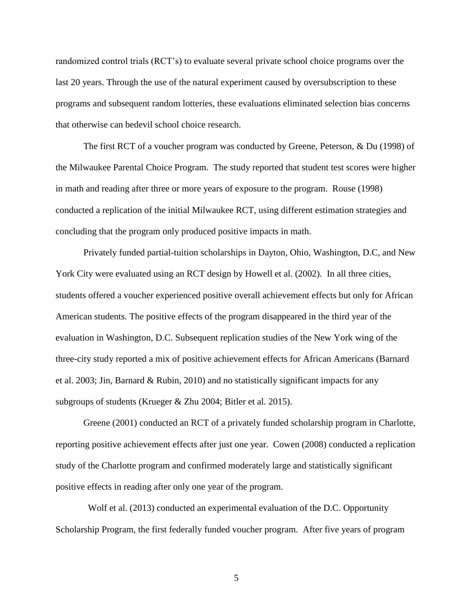randomized control trials (RCT's) to evaluate several private school choice programs over the last 20 years. Through the use of the natural experiment caused by oversubscription to these programs and subsequent random lotteries, these evaluations eliminated selection bias concerns that otherwise can bedevil school choice research.

The first RCT of a voucher program was conducted by Greene, Peterson, & Du (1998) of the Milwaukee Parental Choice Program. The study reported that student test scores were higher in math and reading after three or more years of exposure to the program. Rouse (1998) conducted a replication of the initial Milwaukee RCT, using different estimation strategies and concluding that the program only produced positive impacts in math.

Privately funded partial-tuition scholarships in Dayton, Ohio, Washington, D.C, and New York City were evaluated using an RCT design by Howell et al. (2002). In all three cities, students offered a voucher experienced positive overall achievement effects but only for African American students. The positive effects of the program disappeared in the third year of the evaluation in Washington, D.C. Subsequent replication studies of the New York wing of the three-city study reported a mix of positive achievement effects for African Americans (Barnard et al. 2003; Jin, Barnard & Rubin, 2010) and no statistically significant impacts for any subgroups of students (Krueger & Zhu 2004; Bitler et al. 2015).

Greene (2001) conducted an RCT of a privately funded scholarship program in Charlotte, reporting positive achievement effects after just one year. Cowen (2008) conducted a replication study of the Charlotte program and confirmed moderately large and statistically significant positive effects in reading after only one year of the program.

 Wolf et al. (2013) conducted an experimental evaluation of the D.C. Opportunity Scholarship Program, the first federally funded voucher program. After five years of program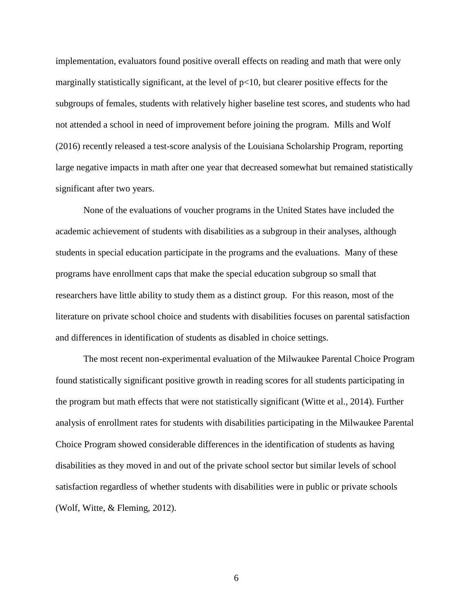implementation, evaluators found positive overall effects on reading and math that were only marginally statistically significant, at the level of  $p<10$ , but clearer positive effects for the subgroups of females, students with relatively higher baseline test scores, and students who had not attended a school in need of improvement before joining the program. Mills and Wolf (2016) recently released a test-score analysis of the Louisiana Scholarship Program, reporting large negative impacts in math after one year that decreased somewhat but remained statistically significant after two years.

None of the evaluations of voucher programs in the United States have included the academic achievement of students with disabilities as a subgroup in their analyses, although students in special education participate in the programs and the evaluations. Many of these programs have enrollment caps that make the special education subgroup so small that researchers have little ability to study them as a distinct group. For this reason, most of the literature on private school choice and students with disabilities focuses on parental satisfaction and differences in identification of students as disabled in choice settings.

The most recent non-experimental evaluation of the Milwaukee Parental Choice Program found statistically significant positive growth in reading scores for all students participating in the program but math effects that were not statistically significant (Witte et al., 2014). Further analysis of enrollment rates for students with disabilities participating in the Milwaukee Parental Choice Program showed considerable differences in the identification of students as having disabilities as they moved in and out of the private school sector but similar levels of school satisfaction regardless of whether students with disabilities were in public or private schools (Wolf, Witte, & Fleming, 2012).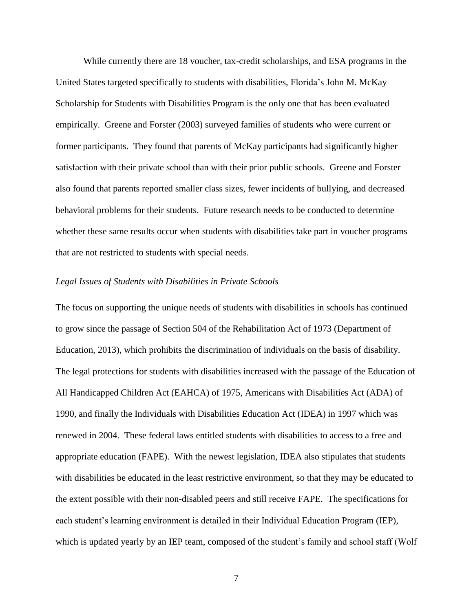While currently there are 18 voucher, tax-credit scholarships, and ESA programs in the United States targeted specifically to students with disabilities, Florida's John M. McKay Scholarship for Students with Disabilities Program is the only one that has been evaluated empirically. Greene and Forster (2003) surveyed families of students who were current or former participants. They found that parents of McKay participants had significantly higher satisfaction with their private school than with their prior public schools. Greene and Forster also found that parents reported smaller class sizes, fewer incidents of bullying, and decreased behavioral problems for their students. Future research needs to be conducted to determine whether these same results occur when students with disabilities take part in voucher programs that are not restricted to students with special needs.

#### *Legal Issues of Students with Disabilities in Private Schools*

The focus on supporting the unique needs of students with disabilities in schools has continued to grow since the passage of Section 504 of the Rehabilitation Act of 1973 (Department of Education, 2013), which prohibits the discrimination of individuals on the basis of disability. The legal protections for students with disabilities increased with the passage of the Education of All Handicapped Children Act (EAHCA) of 1975, Americans with Disabilities Act (ADA) of 1990, and finally the Individuals with Disabilities Education Act (IDEA) in 1997 which was renewed in 2004. These federal laws entitled students with disabilities to access to a free and appropriate education (FAPE). With the newest legislation, IDEA also stipulates that students with disabilities be educated in the least restrictive environment, so that they may be educated to the extent possible with their non-disabled peers and still receive FAPE. The specifications for each student's learning environment is detailed in their Individual Education Program (IEP), which is updated yearly by an IEP team, composed of the student's family and school staff (Wolf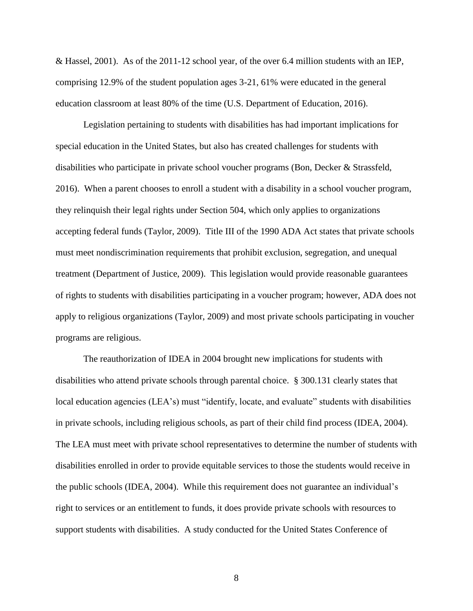& Hassel, 2001). As of the 2011-12 school year, of the over 6.4 million students with an IEP, comprising 12.9% of the student population ages 3-21, 61% were educated in the general education classroom at least 80% of the time (U.S. Department of Education, 2016).

Legislation pertaining to students with disabilities has had important implications for special education in the United States, but also has created challenges for students with disabilities who participate in private school voucher programs (Bon, Decker & Strassfeld, 2016). When a parent chooses to enroll a student with a disability in a school voucher program, they relinquish their legal rights under Section 504, which only applies to organizations accepting federal funds (Taylor, 2009). Title III of the 1990 ADA Act states that private schools must meet nondiscrimination requirements that prohibit exclusion, segregation, and unequal treatment (Department of Justice, 2009). This legislation would provide reasonable guarantees of rights to students with disabilities participating in a voucher program; however, ADA does not apply to religious organizations (Taylor, 2009) and most private schools participating in voucher programs are religious.

The reauthorization of IDEA in 2004 brought new implications for students with disabilities who attend private schools through parental choice. § 300.131 clearly states that local education agencies (LEA's) must "identify, locate, and evaluate" students with disabilities in private schools, including religious schools, as part of their child find process (IDEA, 2004). The LEA must meet with private school representatives to determine the number of students with disabilities enrolled in order to provide equitable services to those the students would receive in the public schools (IDEA, 2004). While this requirement does not guarantee an individual's right to services or an entitlement to funds, it does provide private schools with resources to support students with disabilities. A study conducted for the United States Conference of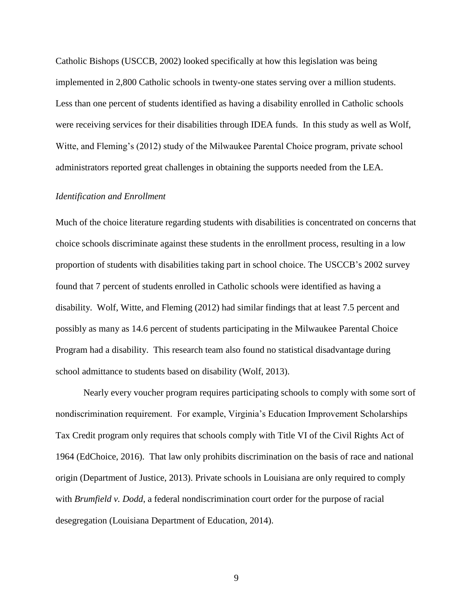Catholic Bishops (USCCB, 2002) looked specifically at how this legislation was being implemented in 2,800 Catholic schools in twenty-one states serving over a million students. Less than one percent of students identified as having a disability enrolled in Catholic schools were receiving services for their disabilities through IDEA funds. In this study as well as Wolf, Witte, and Fleming's (2012) study of the Milwaukee Parental Choice program, private school administrators reported great challenges in obtaining the supports needed from the LEA.

#### *Identification and Enrollment*

Much of the choice literature regarding students with disabilities is concentrated on concerns that choice schools discriminate against these students in the enrollment process, resulting in a low proportion of students with disabilities taking part in school choice. The USCCB's 2002 survey found that 7 percent of students enrolled in Catholic schools were identified as having a disability. Wolf, Witte, and Fleming (2012) had similar findings that at least 7.5 percent and possibly as many as 14.6 percent of students participating in the Milwaukee Parental Choice Program had a disability. This research team also found no statistical disadvantage during school admittance to students based on disability (Wolf, 2013).

Nearly every voucher program requires participating schools to comply with some sort of nondiscrimination requirement. For example, Virginia's Education Improvement Scholarships Tax Credit program only requires that schools comply with Title VI of the Civil Rights Act of 1964 (EdChoice, 2016). That law only prohibits discrimination on the basis of race and national origin (Department of Justice, 2013). Private schools in Louisiana are only required to comply with *Brumfield v. Dodd*, a federal nondiscrimination court order for the purpose of racial desegregation (Louisiana Department of Education, 2014).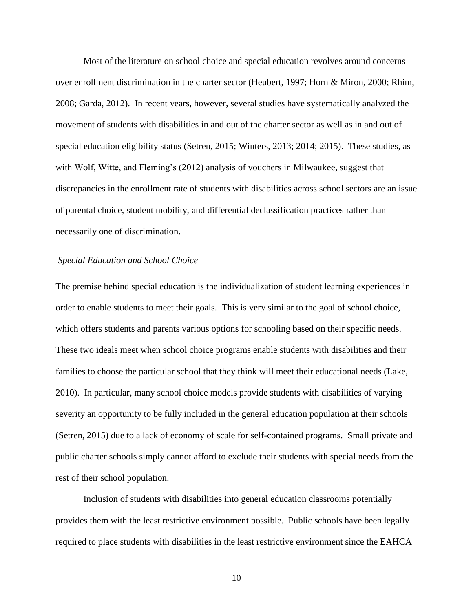Most of the literature on school choice and special education revolves around concerns over enrollment discrimination in the charter sector (Heubert, 1997; Horn & Miron, 2000; Rhim, 2008; Garda, 2012). In recent years, however, several studies have systematically analyzed the movement of students with disabilities in and out of the charter sector as well as in and out of special education eligibility status (Setren, 2015; Winters, 2013; 2014; 2015). These studies, as with Wolf, Witte, and Fleming's (2012) analysis of vouchers in Milwaukee, suggest that discrepancies in the enrollment rate of students with disabilities across school sectors are an issue of parental choice, student mobility, and differential declassification practices rather than necessarily one of discrimination.

#### *Special Education and School Choice*

The premise behind special education is the individualization of student learning experiences in order to enable students to meet their goals. This is very similar to the goal of school choice, which offers students and parents various options for schooling based on their specific needs. These two ideals meet when school choice programs enable students with disabilities and their families to choose the particular school that they think will meet their educational needs (Lake, 2010). In particular, many school choice models provide students with disabilities of varying severity an opportunity to be fully included in the general education population at their schools (Setren, 2015) due to a lack of economy of scale for self-contained programs. Small private and public charter schools simply cannot afford to exclude their students with special needs from the rest of their school population.

Inclusion of students with disabilities into general education classrooms potentially provides them with the least restrictive environment possible. Public schools have been legally required to place students with disabilities in the least restrictive environment since the EAHCA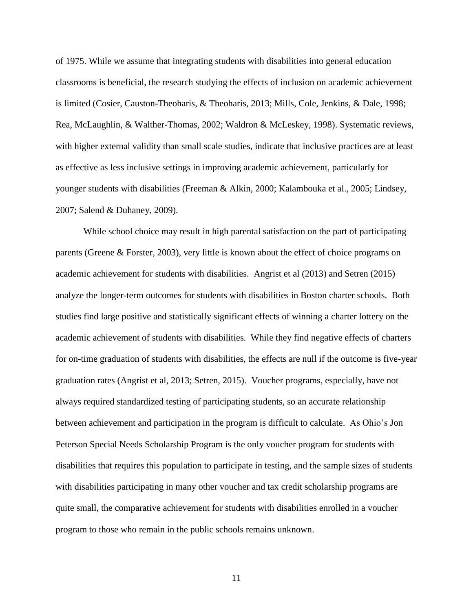of 1975. While we assume that integrating students with disabilities into general education classrooms is beneficial, the research studying the effects of inclusion on academic achievement is limited (Cosier, Causton-Theoharis, & Theoharis, 2013; Mills, Cole, Jenkins, & Dale, 1998; Rea, McLaughlin, & Walther-Thomas, 2002; Waldron & McLeskey, 1998). Systematic reviews, with higher external validity than small scale studies, indicate that inclusive practices are at least as effective as less inclusive settings in improving academic achievement, particularly for younger students with disabilities (Freeman & Alkin, 2000; Kalambouka et al., 2005; Lindsey, 2007; Salend & Duhaney, 2009).

While school choice may result in high parental satisfaction on the part of participating parents (Greene & Forster, 2003), very little is known about the effect of choice programs on academic achievement for students with disabilities. Angrist et al (2013) and Setren (2015) analyze the longer-term outcomes for students with disabilities in Boston charter schools. Both studies find large positive and statistically significant effects of winning a charter lottery on the academic achievement of students with disabilities. While they find negative effects of charters for on-time graduation of students with disabilities, the effects are null if the outcome is five-year graduation rates (Angrist et al, 2013; Setren, 2015). Voucher programs, especially, have not always required standardized testing of participating students, so an accurate relationship between achievement and participation in the program is difficult to calculate. As Ohio's Jon Peterson Special Needs Scholarship Program is the only voucher program for students with disabilities that requires this population to participate in testing, and the sample sizes of students with disabilities participating in many other voucher and tax credit scholarship programs are quite small, the comparative achievement for students with disabilities enrolled in a voucher program to those who remain in the public schools remains unknown.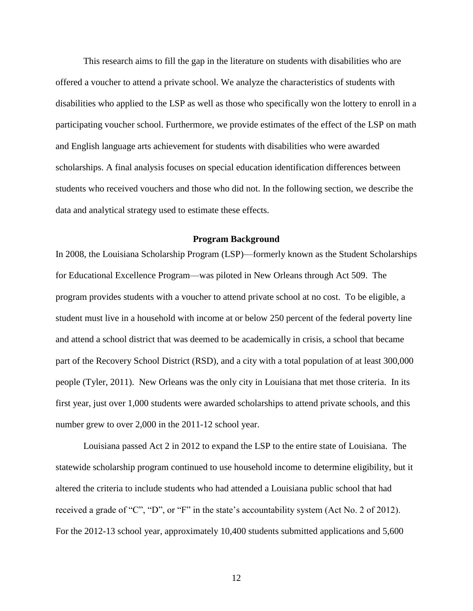This research aims to fill the gap in the literature on students with disabilities who are offered a voucher to attend a private school. We analyze the characteristics of students with disabilities who applied to the LSP as well as those who specifically won the lottery to enroll in a participating voucher school. Furthermore, we provide estimates of the effect of the LSP on math and English language arts achievement for students with disabilities who were awarded scholarships. A final analysis focuses on special education identification differences between students who received vouchers and those who did not. In the following section, we describe the data and analytical strategy used to estimate these effects.

#### **Program Background**

In 2008, the Louisiana Scholarship Program (LSP)—formerly known as the Student Scholarships for Educational Excellence Program—was piloted in New Orleans through Act 509. The program provides students with a voucher to attend private school at no cost. To be eligible, a student must live in a household with income at or below 250 percent of the federal poverty line and attend a school district that was deemed to be academically in crisis, a school that became part of the Recovery School District (RSD), and a city with a total population of at least 300,000 people (Tyler, 2011). New Orleans was the only city in Louisiana that met those criteria. In its first year, just over 1,000 students were awarded scholarships to attend private schools, and this number grew to over 2,000 in the 2011-12 school year.

Louisiana passed Act 2 in 2012 to expand the LSP to the entire state of Louisiana. The statewide scholarship program continued to use household income to determine eligibility, but it altered the criteria to include students who had attended a Louisiana public school that had received a grade of "C", "D", or "F" in the state's accountability system (Act No. 2 of 2012). For the 2012-13 school year, approximately 10,400 students submitted applications and 5,600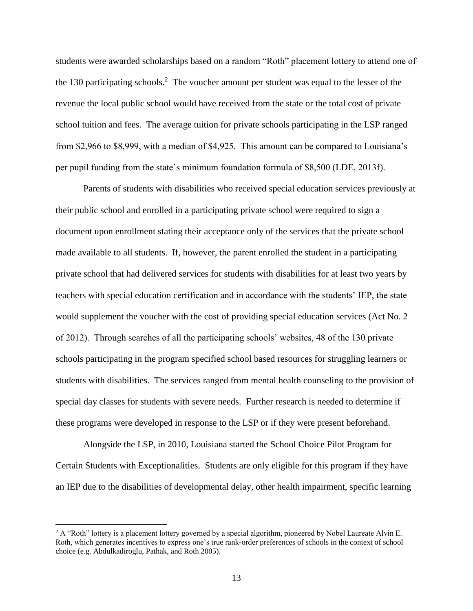students were awarded scholarships based on a random "Roth" placement lottery to attend one of the 130 participating schools.<sup>2</sup> The voucher amount per student was equal to the lesser of the revenue the local public school would have received from the state or the total cost of private school tuition and fees. The average tuition for private schools participating in the LSP ranged from \$2,966 to \$8,999, with a median of \$4,925. This amount can be compared to Louisiana's per pupil funding from the state's minimum foundation formula of \$8,500 (LDE, 2013f).

Parents of students with disabilities who received special education services previously at their public school and enrolled in a participating private school were required to sign a document upon enrollment stating their acceptance only of the services that the private school made available to all students. If, however, the parent enrolled the student in a participating private school that had delivered services for students with disabilities for at least two years by teachers with special education certification and in accordance with the students' IEP, the state would supplement the voucher with the cost of providing special education services (Act No. 2 of 2012). Through searches of all the participating schools' websites, 48 of the 130 private schools participating in the program specified school based resources for struggling learners or students with disabilities. The services ranged from mental health counseling to the provision of special day classes for students with severe needs. Further research is needed to determine if these programs were developed in response to the LSP or if they were present beforehand.

Alongside the LSP, in 2010, Louisiana started the School Choice Pilot Program for Certain Students with Exceptionalities. Students are only eligible for this program if they have an IEP due to the disabilities of developmental delay, other health impairment, specific learning

<sup>&</sup>lt;sup>2</sup> A "Roth" lottery is a placement lottery governed by a special algorithm, pioneered by Nobel Laureate Alvin E. Roth, which generates incentives to express one's true rank-order preferences of schools in the context of school choice (e.g. Abdulkadiroglu, Pathak, and Roth 2005).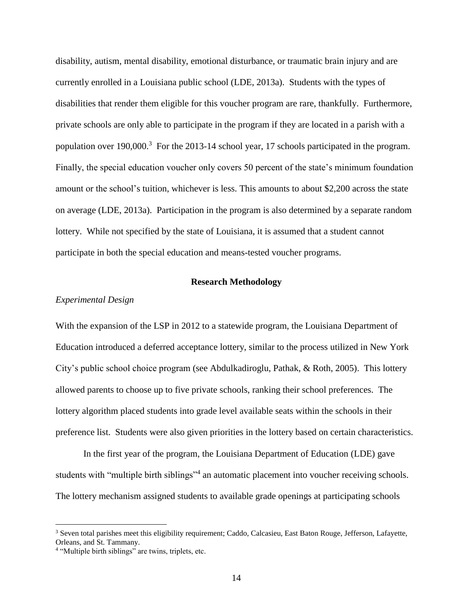disability, autism, mental disability, emotional disturbance, or traumatic brain injury and are currently enrolled in a Louisiana public school (LDE, 2013a). Students with the types of disabilities that render them eligible for this voucher program are rare, thankfully. Furthermore, private schools are only able to participate in the program if they are located in a parish with a population over  $190,000$ <sup>3</sup>. For the 2013-14 school year, 17 schools participated in the program. Finally, the special education voucher only covers 50 percent of the state's minimum foundation amount or the school's tuition, whichever is less. This amounts to about \$2,200 across the state on average (LDE, 2013a). Participation in the program is also determined by a separate random lottery. While not specified by the state of Louisiana, it is assumed that a student cannot participate in both the special education and means-tested voucher programs.

#### **Research Methodology**

#### *Experimental Design*

With the expansion of the LSP in 2012 to a statewide program, the Louisiana Department of Education introduced a deferred acceptance lottery, similar to the process utilized in New York City's public school choice program (see Abdulkadiroglu, Pathak, & Roth, 2005). This lottery allowed parents to choose up to five private schools, ranking their school preferences. The lottery algorithm placed students into grade level available seats within the schools in their preference list. Students were also given priorities in the lottery based on certain characteristics.

In the first year of the program, the Louisiana Department of Education (LDE) gave students with "multiple birth siblings"<sup>4</sup> an automatic placement into voucher receiving schools. The lottery mechanism assigned students to available grade openings at participating schools

<sup>3</sup> Seven total parishes meet this eligibility requirement; Caddo, Calcasieu, East Baton Rouge, Jefferson, Lafayette, Orleans, and St. Tammany.

<sup>4</sup> "Multiple birth siblings" are twins, triplets, etc.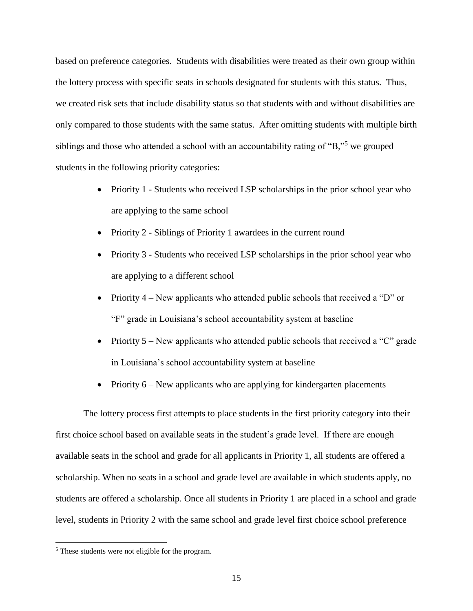based on preference categories. Students with disabilities were treated as their own group within the lottery process with specific seats in schools designated for students with this status. Thus, we created risk sets that include disability status so that students with and without disabilities are only compared to those students with the same status. After omitting students with multiple birth siblings and those who attended a school with an accountability rating of "B,"<sup>5</sup> we grouped students in the following priority categories:

- Priority 1 Students who received LSP scholarships in the prior school year who are applying to the same school
- Priority 2 Siblings of Priority 1 awardees in the current round
- Priority 3 Students who received LSP scholarships in the prior school year who are applying to a different school
- Priority 4 New applicants who attended public schools that received a "D" or "F" grade in Louisiana's school accountability system at baseline
- Priority  $5$  New applicants who attended public schools that received a "C" grade in Louisiana's school accountability system at baseline
- Priority  $6$  New applicants who are applying for kindergarten placements

The lottery process first attempts to place students in the first priority category into their first choice school based on available seats in the student's grade level. If there are enough available seats in the school and grade for all applicants in Priority 1, all students are offered a scholarship. When no seats in a school and grade level are available in which students apply, no students are offered a scholarship. Once all students in Priority 1 are placed in a school and grade level, students in Priority 2 with the same school and grade level first choice school preference

<sup>5</sup> These students were not eligible for the program.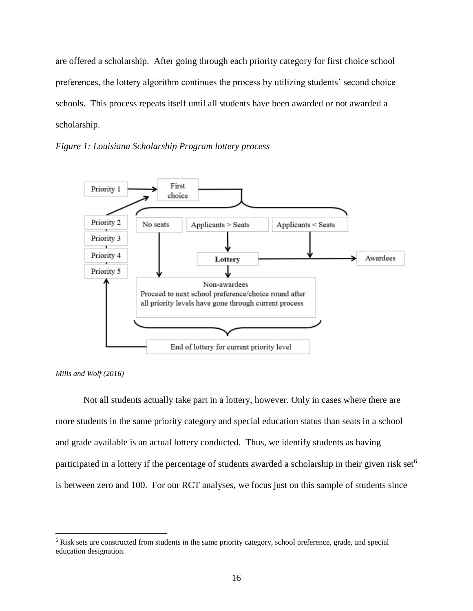are offered a scholarship. After going through each priority category for first choice school preferences, the lottery algorithm continues the process by utilizing students' second choice schools. This process repeats itself until all students have been awarded or not awarded a scholarship.







 $\overline{a}$ 

Not all students actually take part in a lottery, however. Only in cases where there are more students in the same priority category and special education status than seats in a school and grade available is an actual lottery conducted. Thus, we identify students as having participated in a lottery if the percentage of students awarded a scholarship in their given risk set<sup>6</sup> is between zero and 100. For our RCT analyses, we focus just on this sample of students since

<sup>6</sup> Risk sets are constructed from students in the same priority category, school preference, grade, and special education designation.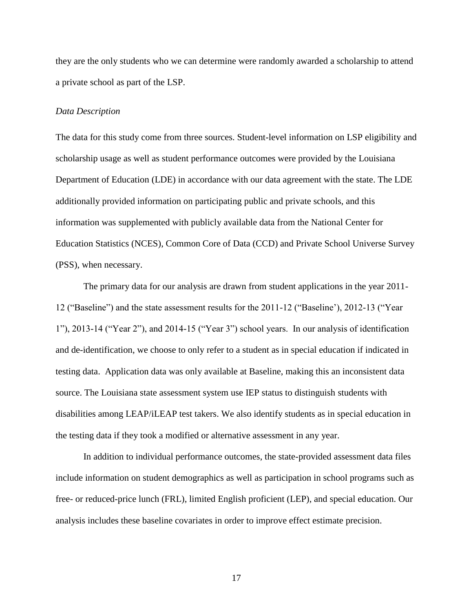they are the only students who we can determine were randomly awarded a scholarship to attend a private school as part of the LSP.

#### *Data Description*

The data for this study come from three sources. Student-level information on LSP eligibility and scholarship usage as well as student performance outcomes were provided by the Louisiana Department of Education (LDE) in accordance with our data agreement with the state. The LDE additionally provided information on participating public and private schools, and this information was supplemented with publicly available data from the National Center for Education Statistics (NCES), Common Core of Data (CCD) and Private School Universe Survey (PSS), when necessary.

The primary data for our analysis are drawn from student applications in the year 2011- 12 ("Baseline") and the state assessment results for the 2011-12 ("Baseline'), 2012-13 ("Year 1"), 2013-14 ("Year 2"), and 2014-15 ("Year 3") school years. In our analysis of identification and de-identification, we choose to only refer to a student as in special education if indicated in testing data. Application data was only available at Baseline, making this an inconsistent data source. The Louisiana state assessment system use IEP status to distinguish students with disabilities among LEAP/iLEAP test takers. We also identify students as in special education in the testing data if they took a modified or alternative assessment in any year.

In addition to individual performance outcomes, the state-provided assessment data files include information on student demographics as well as participation in school programs such as free- or reduced-price lunch (FRL), limited English proficient (LEP), and special education. Our analysis includes these baseline covariates in order to improve effect estimate precision.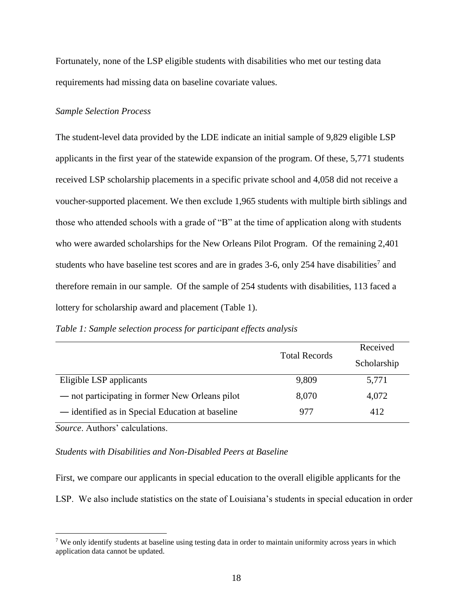Fortunately, none of the LSP eligible students with disabilities who met our testing data requirements had missing data on baseline covariate values.

#### *Sample Selection Process*

The student-level data provided by the LDE indicate an initial sample of 9,829 eligible LSP applicants in the first year of the statewide expansion of the program. Of these, 5,771 students received LSP scholarship placements in a specific private school and 4,058 did not receive a voucher-supported placement. We then exclude 1,965 students with multiple birth siblings and those who attended schools with a grade of "B" at the time of application along with students who were awarded scholarships for the New Orleans Pilot Program. Of the remaining 2,401 students who have baseline test scores and are in grades  $3-6$ , only  $254$  have disabilities<sup>7</sup> and therefore remain in our sample. Of the sample of 254 students with disabilities, 113 faced a lottery for scholarship award and placement (Table 1).

|                                                  |                      | Received    |
|--------------------------------------------------|----------------------|-------------|
|                                                  | <b>Total Records</b> | Scholarship |
| Eligible LSP applicants                          | 9,809                | 5,771       |
| — not participating in former New Orleans pilot  | 8,070                | 4,072       |
| — identified as in Special Education at baseline | 977                  | 412         |

*Table 1: Sample selection process for participant effects analysis*

*Source*. Authors' calculations.

 $\overline{a}$ 

#### *Students with Disabilities and Non-Disabled Peers at Baseline*

First, we compare our applicants in special education to the overall eligible applicants for the LSP. We also include statistics on the state of Louisiana's students in special education in order

<sup>7</sup> We only identify students at baseline using testing data in order to maintain uniformity across years in which application data cannot be updated.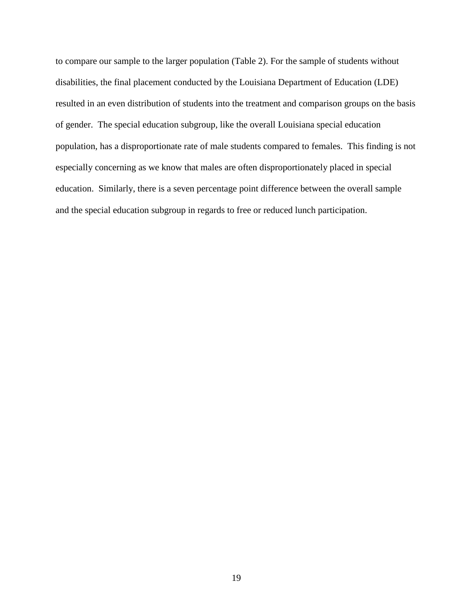to compare our sample to the larger population (Table 2). For the sample of students without disabilities, the final placement conducted by the Louisiana Department of Education (LDE) resulted in an even distribution of students into the treatment and comparison groups on the basis of gender. The special education subgroup, like the overall Louisiana special education population, has a disproportionate rate of male students compared to females. This finding is not especially concerning as we know that males are often disproportionately placed in special education. Similarly, there is a seven percentage point difference between the overall sample and the special education subgroup in regards to free or reduced lunch participation.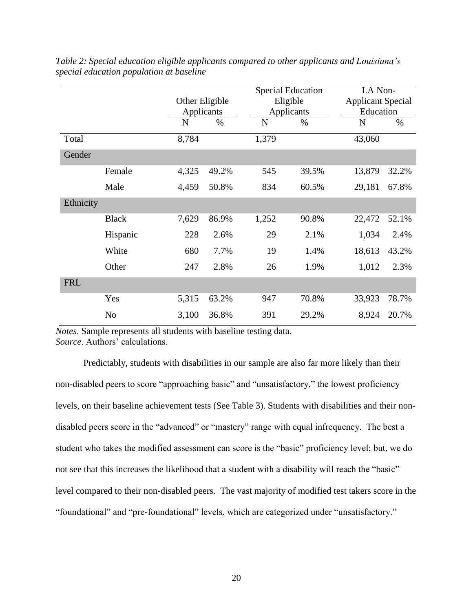|            |              | <b>Special Education</b> |                | LA Non-     |            |           |                          |  |
|------------|--------------|--------------------------|----------------|-------------|------------|-----------|--------------------------|--|
|            |              |                          | Other Eligible |             | Eligible   |           | <b>Applicant Special</b> |  |
|            |              | Applicants               |                |             | Applicants | Education |                          |  |
|            |              | N                        | $\%$           | $\mathbf N$ | $\%$       | N         | $\%$                     |  |
| Total      |              | 8,784                    |                | 1,379       |            | 43,060    |                          |  |
| Gender     |              |                          |                |             |            |           |                          |  |
|            | Female       | 4,325                    | 49.2%          | 545         | 39.5%      | 13,879    | 32.2%                    |  |
|            | Male         | 4,459                    | 50.8%          | 834         | 60.5%      | 29,181    | 67.8%                    |  |
| Ethnicity  |              |                          |                |             |            |           |                          |  |
|            | <b>Black</b> | 7,629                    | 86.9%          | 1,252       | 90.8%      | 22,472    | 52.1%                    |  |
|            | Hispanic     | 228                      | 2.6%           | 29          | 2.1%       | 1,034     | 2.4%                     |  |
|            | White        | 680                      | 7.7%           | 19          | 1.4%       | 18,613    | 43.2%                    |  |
|            | Other        | 247                      | 2.8%           | 26          | 1.9%       | 1,012     | 2.3%                     |  |
| <b>FRL</b> |              |                          |                |             |            |           |                          |  |
|            | Yes          | 5,315                    | 63.2%          | 947         | 70.8%      | 33,923    | 78.7%                    |  |
|            | No           | 3,100                    | 36.8%          | 391         | 29.2%      | 8,924     | 20.7%                    |  |

*Table 2: Special education eligible applicants compared to other applicants and Louisiana's special education population at baseline*

*Notes*. Sample represents all students with baseline testing data. *Source*. Authors' calculations.

Predictably, students with disabilities in our sample are also far more likely than their non-disabled peers to score "approaching basic" and "unsatisfactory," the lowest proficiency levels, on their baseline achievement tests (See Table 3). Students with disabilities and their nondisabled peers score in the "advanced" or "mastery" range with equal infrequency. The best a student who takes the modified assessment can score is the "basic" proficiency level; but, we do not see that this increases the likelihood that a student with a disability will reach the "basic" level compared to their non-disabled peers. The vast majority of modified test takers score in the "foundational" and "pre-foundational" levels, which are categorized under "unsatisfactory."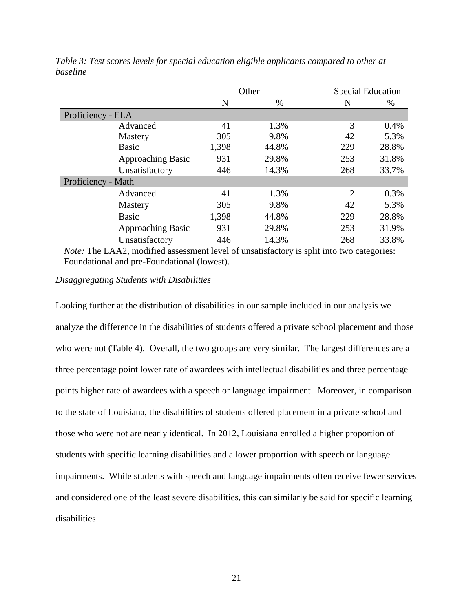|                          | Other |       | <b>Special Education</b> |       |
|--------------------------|-------|-------|--------------------------|-------|
|                          | N     | $\%$  | N                        | $\%$  |
| Proficiency - ELA        |       |       |                          |       |
| Advanced                 | 41    | 1.3%  | 3                        | 0.4%  |
| Mastery                  | 305   | 9.8%  | 42                       | 5.3%  |
| <b>Basic</b>             | 1,398 | 44.8% | 229                      | 28.8% |
| <b>Approaching Basic</b> | 931   | 29.8% | 253                      | 31.8% |
| Unsatisfactory           | 446   | 14.3% | 268                      | 33.7% |
| Proficiency - Math       |       |       |                          |       |
| Advanced                 | 41    | 1.3%  | 2                        | 0.3%  |
| Mastery                  | 305   | 9.8%  | 42                       | 5.3%  |
| <b>Basic</b>             | 1,398 | 44.8% | 229                      | 28.8% |
| <b>Approaching Basic</b> | 931   | 29.8% | 253                      | 31.9% |
| Unsatisfactory           | 446   | 14.3% | 268                      | 33.8% |

*Table 3: Test scores levels for special education eligible applicants compared to other at baseline*

*Note:* The LAA2, modified assessment level of unsatisfactory is split into two categories: Foundational and pre-Foundational (lowest).

#### *Disaggregating Students with Disabilities*

Looking further at the distribution of disabilities in our sample included in our analysis we analyze the difference in the disabilities of students offered a private school placement and those who were not (Table 4). Overall, the two groups are very similar. The largest differences are a three percentage point lower rate of awardees with intellectual disabilities and three percentage points higher rate of awardees with a speech or language impairment. Moreover, in comparison to the state of Louisiana, the disabilities of students offered placement in a private school and those who were not are nearly identical. In 2012, Louisiana enrolled a higher proportion of students with specific learning disabilities and a lower proportion with speech or language impairments. While students with speech and language impairments often receive fewer services and considered one of the least severe disabilities, this can similarly be said for specific learning disabilities.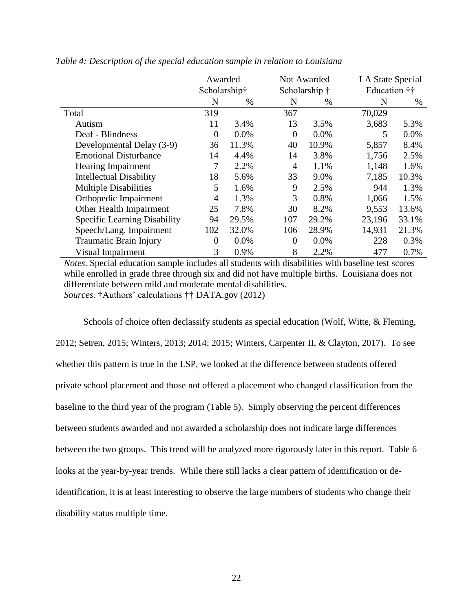|                                | Awarded      |         |                | Not Awarded   |              | LA State Special |  |
|--------------------------------|--------------|---------|----------------|---------------|--------------|------------------|--|
|                                | Scholarship† |         |                | Scholarship † | Education †† |                  |  |
|                                | N            | $\%$    | N              | $\%$          | N            | $\%$             |  |
| Total                          | 319          |         | 367            |               | 70,029       |                  |  |
| Autism                         | 11           | 3.4%    | 13             | 3.5%          | 3,683        | 5.3%             |  |
| Deaf - Blindness               | $\Omega$     | $0.0\%$ | $\Omega$       | $0.0\%$       | 5            | 0.0%             |  |
| Developmental Delay (3-9)      | 36           | 11.3%   | 40             | 10.9%         | 5,857        | 8.4%             |  |
| <b>Emotional Disturbance</b>   | 14           | 4.4%    | 14             | 3.8%          | 1,756        | 2.5%             |  |
| <b>Hearing Impairment</b>      |              | 2.2%    | $\overline{4}$ | 1.1%          | 1,148        | 1.6%             |  |
| <b>Intellectual Disability</b> | 18           | 5.6%    | 33             | 9.0%          | 7,185        | 10.3%            |  |
| <b>Multiple Disabilities</b>   | 5            | 1.6%    | 9              | 2.5%          | 944          | 1.3%             |  |
| Orthopedic Impairment          | 4            | 1.3%    | 3              | 0.8%          | 1,066        | 1.5%             |  |
| Other Health Impairment        | 25           | 7.8%    | 30             | 8.2%          | 9,553        | 13.6%            |  |
| Specific Learning Disability   | 94           | 29.5%   | 107            | 29.2%         | 23,196       | 33.1%            |  |
| Speech/Lang. Impairment        | 102          | 32.0%   | 106            | 28.9%         | 14,931       | 21.3%            |  |
| Traumatic Brain Injury         | $\Omega$     | 0.0%    | $\Omega$       | 0.0%          | 228          | 0.3%             |  |
| Visual Impairment              | 3            | 0.9%    | 8              | 2.2%          | 477          | 0.7%             |  |

*Table 4: Description of the special education sample in relation to Louisiana*

*Notes*. Special education sample includes all students with disabilities with baseline test scores while enrolled in grade three through six and did not have multiple births. Louisiana does not differentiate between mild and moderate mental disabilities. *Sources*. †Authors' calculations †† DATA.gov (2012)

Schools of choice often declassify students as special education (Wolf, Witte, & Fleming, 2012; Setren, 2015; Winters, 2013; 2014; 2015; Winters, Carpenter II, & Clayton, 2017). To see whether this pattern is true in the LSP, we looked at the difference between students offered private school placement and those not offered a placement who changed classification from the baseline to the third year of the program (Table 5). Simply observing the percent differences between students awarded and not awarded a scholarship does not indicate large differences between the two groups. This trend will be analyzed more rigorously later in this report. Table 6 looks at the year-by-year trends. While there still lacks a clear pattern of identification or deidentification, it is at least interesting to observe the large numbers of students who change their disability status multiple time.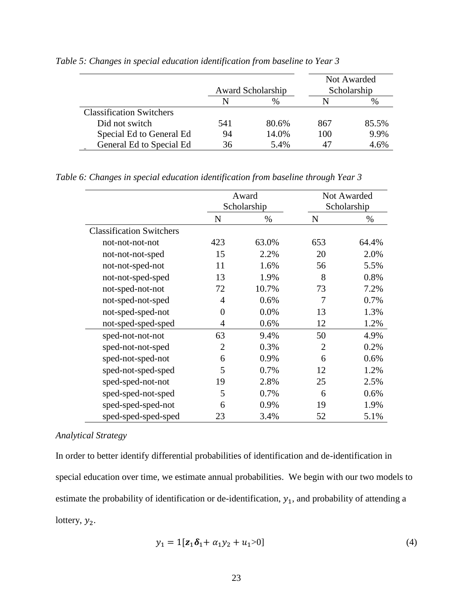|                                 |     | <b>Award Scholarship</b> |     | Not Awarded<br>Scholarship |
|---------------------------------|-----|--------------------------|-----|----------------------------|
|                                 | N   | $\%$                     |     | $\%$                       |
| <b>Classification Switchers</b> |     |                          |     |                            |
| Did not switch                  | 541 | 80.6%                    | 867 | 85.5%                      |
| Special Ed to General Ed        | 94  | 14.0%                    | 100 | 9.9%                       |
| General Ed to Special Ed        | 36  | 5.4%                     |     | 4.6%                       |

*Table 5: Changes in special education identification from baseline to Year 3*

*Table 6: Changes in special education identification from baseline through Year 3*

|                                 | Award<br>Scholarship |       |                | Not Awarded |
|---------------------------------|----------------------|-------|----------------|-------------|
|                                 |                      |       |                | Scholarship |
|                                 | N                    | $\%$  | N              | %           |
| <b>Classification Switchers</b> |                      |       |                |             |
| not-not-not-not                 | 423                  | 63.0% | 653            | 64.4%       |
| not-not-not-sped                | 15                   | 2.2%  | 20             | 2.0%        |
| not-not-sped-not                | 11                   | 1.6%  | 56             | 5.5%        |
| not-not-sped-sped               | 13                   | 1.9%  | 8              | 0.8%        |
| not-sped-not-not                | 72                   | 10.7% | 73             | 7.2%        |
| not-sped-not-sped               | $\overline{4}$       | 0.6%  | 7              | 0.7%        |
| not-sped-sped-not               | $\overline{0}$       | 0.0%  | 13             | 1.3%        |
| not-sped-sped-sped              | $\overline{4}$       | 0.6%  | 12             | 1.2%        |
| sped-not-not-not                | 63                   | 9.4%  | 50             | 4.9%        |
| sped-not-not-sped               | $\overline{2}$       | 0.3%  | $\overline{2}$ | 0.2%        |
| sped-not-sped-not               | 6                    | 0.9%  | 6              | 0.6%        |
| sped-not-sped-sped              | 5                    | 0.7%  | 12             | 1.2%        |
| sped-sped-not-not               | 19                   | 2.8%  | 25             | 2.5%        |
| sped-sped-not-sped              | 5                    | 0.7%  | 6              | 0.6%        |
| sped-sped-sped-not              | 6                    | 0.9%  | 19             | 1.9%        |
| sped-sped-sped-sped             | 23                   | 3.4%  | 52             | 5.1%        |

#### *Analytical Strategy*

In order to better identify differential probabilities of identification and de-identification in special education over time, we estimate annual probabilities. We begin with our two models to estimate the probability of identification or de-identification,  $y_1$ , and probability of attending a lottery,  $y_2$ .

$$
y_1 = 1[\mathbf{z}_1 \delta_1 + \alpha_1 y_2 + u_1 > 0] \tag{4}
$$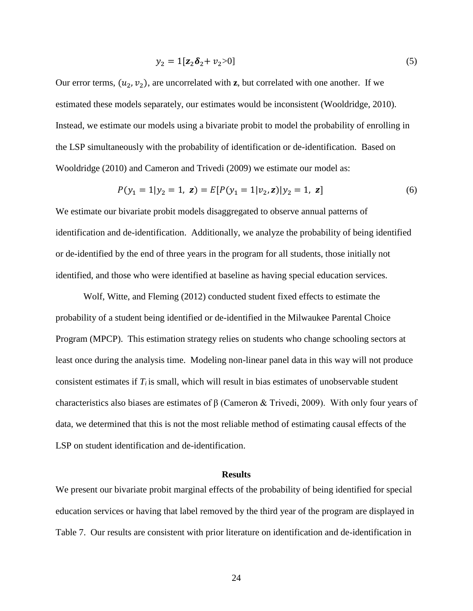$$
y_2 = 1[\mathbf{z}_2 \delta_2 + v_2 > 0] \tag{5}
$$

Our error terms,  $(u_2, v_2)$ , are uncorrelated with **z**, but correlated with one another. If we estimated these models separately, our estimates would be inconsistent (Wooldridge, 2010). Instead, we estimate our models using a bivariate probit to model the probability of enrolling in the LSP simultaneously with the probability of identification or de-identification. Based on Wooldridge (2010) and Cameron and Trivedi (2009) we estimate our model as:

$$
P(y_1 = 1 | y_2 = 1, \ z) = E[P(y_1 = 1 | v_2, z) | y_2 = 1, \ z]
$$
 (6)

We estimate our bivariate probit models disaggregated to observe annual patterns of identification and de-identification. Additionally, we analyze the probability of being identified or de-identified by the end of three years in the program for all students, those initially not identified, and those who were identified at baseline as having special education services.

Wolf, Witte, and Fleming (2012) conducted student fixed effects to estimate the probability of a student being identified or de-identified in the Milwaukee Parental Choice Program (MPCP). This estimation strategy relies on students who change schooling sectors at least once during the analysis time. Modeling non-linear panel data in this way will not produce consistent estimates if *T<sup>i</sup>* is small, which will result in bias estimates of unobservable student characteristics also biases are estimates of β (Cameron & Trivedi, 2009). With only four years of data, we determined that this is not the most reliable method of estimating causal effects of the LSP on student identification and de-identification.

#### **Results**

We present our bivariate probit marginal effects of the probability of being identified for special education services or having that label removed by the third year of the program are displayed in Table 7. Our results are consistent with prior literature on identification and de-identification in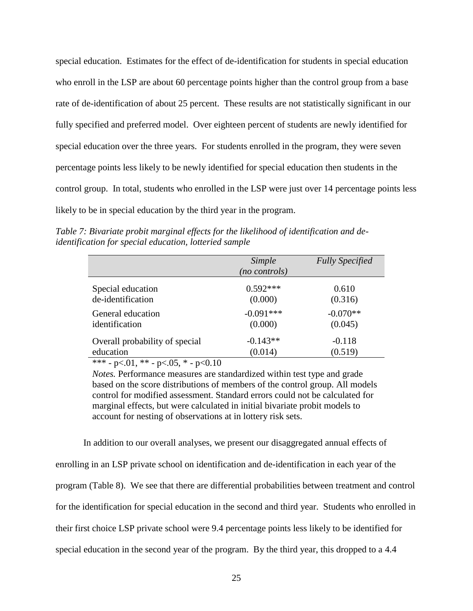special education. Estimates for the effect of de-identification for students in special education who enroll in the LSP are about 60 percentage points higher than the control group from a base rate of de-identification of about 25 percent. These results are not statistically significant in our fully specified and preferred model. Over eighteen percent of students are newly identified for special education over the three years. For students enrolled in the program, they were seven percentage points less likely to be newly identified for special education then students in the control group. In total, students who enrolled in the LSP were just over 14 percentage points less likely to be in special education by the third year in the program.

*Table 7: Bivariate probit marginal effects for the likelihood of identification and deidentification for special education, lotteried sample*

|                                | Simple<br>(no controls) | <b>Fully Specified</b> |
|--------------------------------|-------------------------|------------------------|
| Special education              | $0.592***$              | 0.610                  |
| de-identification              | (0.000)                 | (0.316)                |
| General education              | $-0.091***$             | $-0.070**$             |
| identification                 | (0.000)                 | (0.045)                |
| Overall probability of special | $-0.143**$              | $-0.118$               |
| education                      | (0.014)                 | (0.519)                |

\*\*\* - p<.01, \*\* - p<.05, \* - p<0.10

*Notes.* Performance measures are standardized within test type and grade based on the score distributions of members of the control group. All models control for modified assessment. Standard errors could not be calculated for marginal effects, but were calculated in initial bivariate probit models to account for nesting of observations at in lottery risk sets.

In addition to our overall analyses, we present our disaggregated annual effects of enrolling in an LSP private school on identification and de-identification in each year of the program (Table 8). We see that there are differential probabilities between treatment and control for the identification for special education in the second and third year. Students who enrolled in their first choice LSP private school were 9.4 percentage points less likely to be identified for special education in the second year of the program. By the third year, this dropped to a 4.4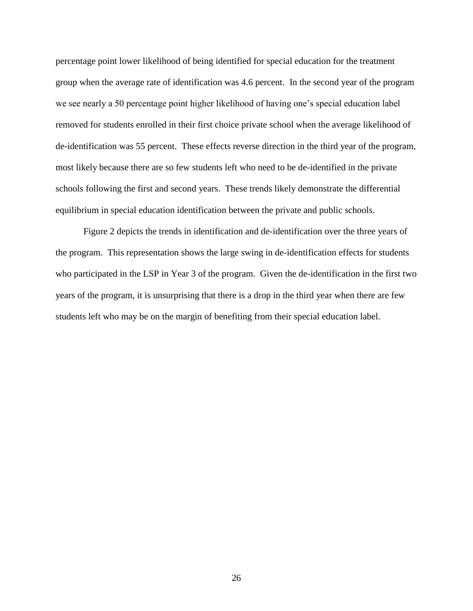percentage point lower likelihood of being identified for special education for the treatment group when the average rate of identification was 4.6 percent. In the second year of the program we see nearly a 50 percentage point higher likelihood of having one's special education label removed for students enrolled in their first choice private school when the average likelihood of de-identification was 55 percent. These effects reverse direction in the third year of the program, most likely because there are so few students left who need to be de-identified in the private schools following the first and second years. These trends likely demonstrate the differential equilibrium in special education identification between the private and public schools.

Figure 2 depicts the trends in identification and de-identification over the three years of the program. This representation shows the large swing in de-identification effects for students who participated in the LSP in Year 3 of the program. Given the de-identification in the first two years of the program, it is unsurprising that there is a drop in the third year when there are few students left who may be on the margin of benefiting from their special education label.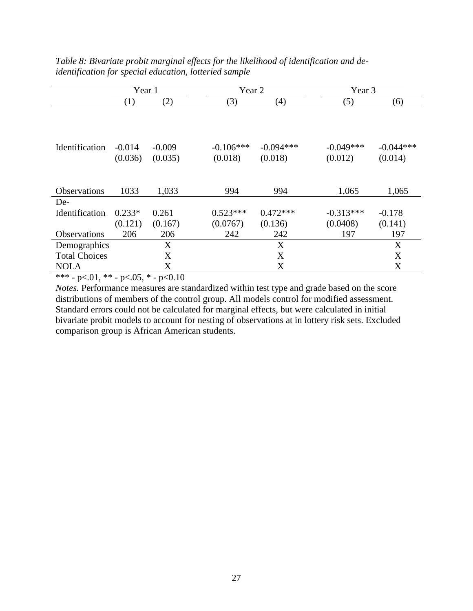|                             |                     | Year 1              |                        | Year 2                 |                        | Year 3                 |
|-----------------------------|---------------------|---------------------|------------------------|------------------------|------------------------|------------------------|
|                             | (1)                 | (2)                 | (3)                    | (4)                    | (5)                    | (6)                    |
|                             |                     |                     |                        |                        |                        |                        |
| Identification              | $-0.014$<br>(0.036) | $-0.009$<br>(0.035) | $-0.106***$<br>(0.018) | $-0.094***$<br>(0.018) | $-0.049***$<br>(0.012) | $-0.044***$<br>(0.014) |
| <b>Observations</b>         | 1033                | 1,033               | 994                    | 994                    | 1,065                  | 1,065                  |
| De-<br>Identification       | $0.233*$            | 0.261               | $0.523***$             | $0.472***$             | $-0.313***$            | $-0.178$               |
|                             | (0.121)             | (0.167)             | (0.0767)               | (0.136)                | (0.0408)               | (0.141)                |
| Observations                | 206                 | 206                 | 242                    | 242                    | 197                    | 197                    |
| Demographics                |                     | X                   |                        | X                      |                        | X                      |
| <b>Total Choices</b>        |                     | X                   |                        | X                      |                        | X                      |
| <b>NOLA</b>                 |                     | X                   |                        | X                      |                        | X                      |
| $\sim$ $\sim$ $\sim$ $\sim$ | $\sim$ $ \sim$      | $\sim$ $\sim$       |                        |                        |                        |                        |

*Table 8: Bivariate probit marginal effects for the likelihood of identification and deidentification for special education, lotteried sample*

\*\*\* - p<.01, \*\* - p<.05, \* - p<0.10

*Notes.* Performance measures are standardized within test type and grade based on the score distributions of members of the control group. All models control for modified assessment. Standard errors could not be calculated for marginal effects, but were calculated in initial bivariate probit models to account for nesting of observations at in lottery risk sets. Excluded comparison group is African American students.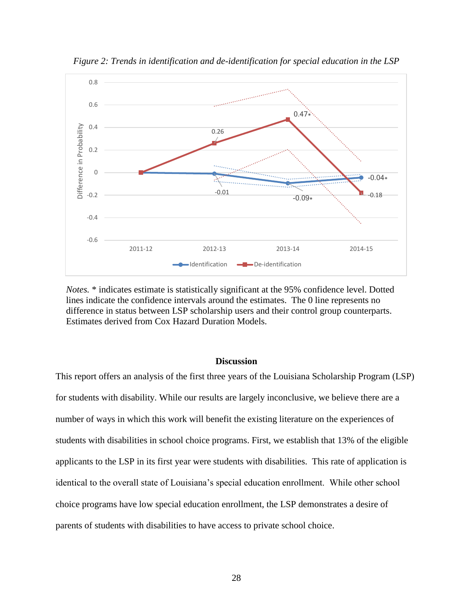

*Figure 2: Trends in identification and de-identification for special education in the LSP*

*Notes.* \* indicates estimate is statistically significant at the 95% confidence level. Dotted lines indicate the confidence intervals around the estimates. The 0 line represents no difference in status between LSP scholarship users and their control group counterparts. Estimates derived from Cox Hazard Duration Models.

#### **Discussion**

This report offers an analysis of the first three years of the Louisiana Scholarship Program (LSP) for students with disability. While our results are largely inconclusive, we believe there are a number of ways in which this work will benefit the existing literature on the experiences of students with disabilities in school choice programs. First, we establish that 13% of the eligible applicants to the LSP in its first year were students with disabilities. This rate of application is identical to the overall state of Louisiana's special education enrollment. While other school choice programs have low special education enrollment, the LSP demonstrates a desire of parents of students with disabilities to have access to private school choice.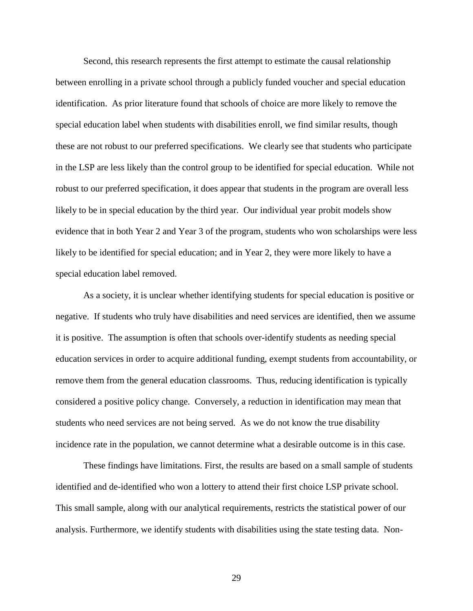Second, this research represents the first attempt to estimate the causal relationship between enrolling in a private school through a publicly funded voucher and special education identification. As prior literature found that schools of choice are more likely to remove the special education label when students with disabilities enroll, we find similar results, though these are not robust to our preferred specifications. We clearly see that students who participate in the LSP are less likely than the control group to be identified for special education. While not robust to our preferred specification, it does appear that students in the program are overall less likely to be in special education by the third year. Our individual year probit models show evidence that in both Year 2 and Year 3 of the program, students who won scholarships were less likely to be identified for special education; and in Year 2, they were more likely to have a special education label removed.

As a society, it is unclear whether identifying students for special education is positive or negative. If students who truly have disabilities and need services are identified, then we assume it is positive. The assumption is often that schools over-identify students as needing special education services in order to acquire additional funding, exempt students from accountability, or remove them from the general education classrooms. Thus, reducing identification is typically considered a positive policy change. Conversely, a reduction in identification may mean that students who need services are not being served. As we do not know the true disability incidence rate in the population, we cannot determine what a desirable outcome is in this case.

These findings have limitations. First, the results are based on a small sample of students identified and de-identified who won a lottery to attend their first choice LSP private school. This small sample, along with our analytical requirements, restricts the statistical power of our analysis. Furthermore, we identify students with disabilities using the state testing data. Non-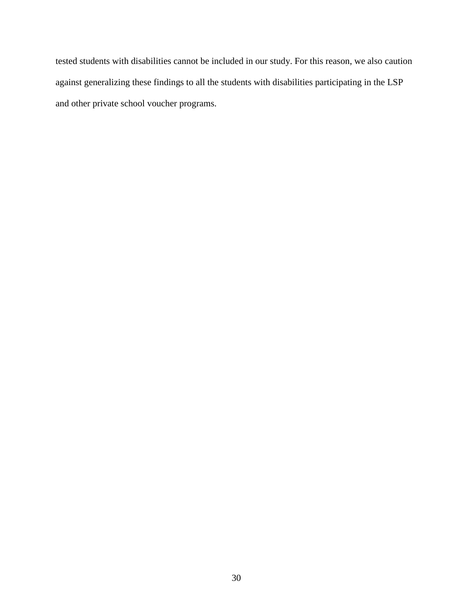tested students with disabilities cannot be included in our study. For this reason, we also caution against generalizing these findings to all the students with disabilities participating in the LSP and other private school voucher programs.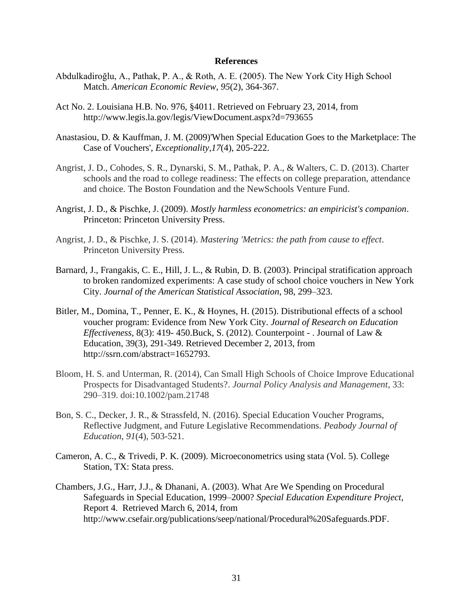#### **References**

- Abdulkadiroğlu, A., Pathak, P. A., & Roth, A. E. (2005). The New York City High School Match. *American Economic Review*, *95*(2), 364-367.
- Act No. 2. Louisiana H.B. No. 976, §4011. Retrieved on February 23, 2014, from http://www.legis.la.gov/legis/ViewDocument.aspx?d=793655
- Anastasiou, D. & Kauffman, J. M. (2009)'When Special Education Goes to the Marketplace: The Case of Vouchers', *Exceptionality,17*(4), 205-222.
- Angrist, J. D., Cohodes, S. R., Dynarski, S. M., Pathak, P. A., & Walters, C. D. (2013). Charter schools and the road to college readiness: The effects on college preparation, attendance and choice. The Boston Foundation and the NewSchools Venture Fund.
- Angrist, J. D., & Pischke, J. (2009). *Mostly harmless econometrics: an empiricist's companion*. Princeton: Princeton University Press.
- Angrist, J. D., & Pischke, J. S. (2014). *Mastering 'Metrics: the path from cause to effect*. Princeton University Press.
- Barnard, J., Frangakis, C. E., Hill, J. L., & Rubin, D. B. (2003). Principal stratification approach to broken randomized experiments: A case study of school choice vouchers in New York City. *Journal of the American Statistical Association*, 98, 299–323.
- Bitler, M., Domina, T., Penner, E. K., & Hoynes, H. (2015). Distributional effects of a school voucher program: Evidence from New York City. *Journal of Research on Education Effectiveness,* 8(3): 419- 450.Buck, S. (2012). Counterpoint - . Journal of Law & Education, 39(3), 291-349. Retrieved December 2, 2013, from http://ssrn.com/abstract=1652793.
- Bloom, H. S. and Unterman, R. (2014), Can Small High Schools of Choice Improve Educational Prospects for Disadvantaged Students?. *Journal Policy Analysis and Management*, 33: 290–319. doi:10.1002/pam.21748
- Bon, S. C., Decker, J. R., & Strassfeld, N. (2016). Special Education Voucher Programs, Reflective Judgment, and Future Legislative Recommendations. *Peabody Journal of Education*, *91*(4), 503-521.
- Cameron, A. C., & Trivedi, P. K. (2009). Microeconometrics using stata (Vol. 5). College Station, TX: Stata press.
- Chambers, J.G., Harr, J.J., & Dhanani, A. (2003). What Are We Spending on Procedural Safeguards in Special Education, 1999–2000? *Special Education Expenditure Project*, Report 4. Retrieved March 6, 2014, from http://www.csefair.org/publications/seep/national/Procedural%20Safeguards.PDF.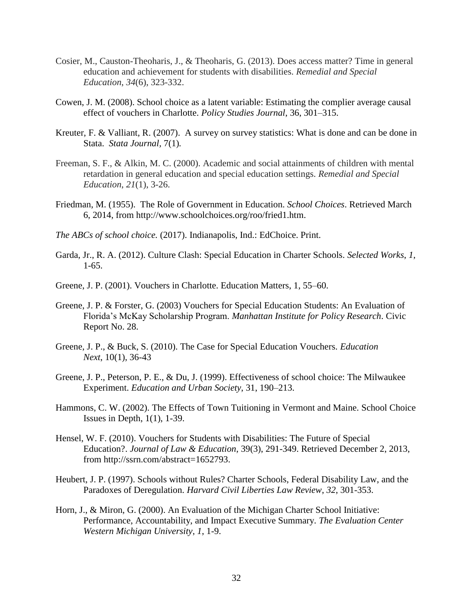- Cosier, M., Causton-Theoharis, J., & Theoharis, G. (2013). Does access matter? Time in general education and achievement for students with disabilities. *Remedial and Special Education*, *34*(6), 323-332.
- Cowen, J. M. (2008). School choice as a latent variable: Estimating the complier average causal effect of vouchers in Charlotte. *Policy Studies Journal*, 36, 301–315.
- Kreuter, F. & Valliant, R. (2007). A survey on survey statistics: What is done and can be done in Stata. *Stata Journal,* 7(1)*.*
- Freeman, S. F., & Alkin, M. C. (2000). Academic and social attainments of children with mental retardation in general education and special education settings. *Remedial and Special Education*, *21*(1), 3-26.
- Friedman, M. (1955). The Role of Government in Education. *School Choices*. Retrieved March 6, 2014, from http://www.schoolchoices.org/roo/fried1.htm.
- *The ABCs of school choice.* (2017). Indianapolis, Ind.: EdChoice. Print.
- Garda, Jr., R. A. (2012). Culture Clash: Special Education in Charter Schools. *Selected Works*, *1*, 1-65.
- Greene, J. P. (2001). Vouchers in Charlotte. Education Matters, 1, 55–60.
- Greene, J. P. & Forster, G. (2003) Vouchers for Special Education Students: An Evaluation of Florida's McKay Scholarship Program. *Manhattan Institute for Policy Research*. Civic Report No. 28.
- Greene, J. P., & Buck, S. (2010). The Case for Special Education Vouchers. *Education Next*, 10(1), 36-43
- Greene, J. P., Peterson, P. E., & Du, J. (1999). Effectiveness of school choice: The Milwaukee Experiment. *Education and Urban Society*, 31, 190–213.
- Hammons, C. W. (2002). The Effects of Town Tuitioning in Vermont and Maine. School Choice Issues in Depth, 1(1), 1-39.
- Hensel, W. F. (2010). Vouchers for Students with Disabilities: The Future of Special Education?. *Journal of Law & Education*, 39(3), 291-349. Retrieved December 2, 2013, from http://ssrn.com/abstract=1652793.
- Heubert, J. P. (1997). Schools without Rules? Charter Schools, Federal Disability Law, and the Paradoxes of Deregulation. *Harvard Civil Liberties Law Review*, *32*, 301-353.
- Horn, J., & Miron, G. (2000). An Evaluation of the Michigan Charter School Initiative: Performance, Accountability, and Impact Executive Summary. *The Evaluation Center Western Michigan University*, *1*, 1-9.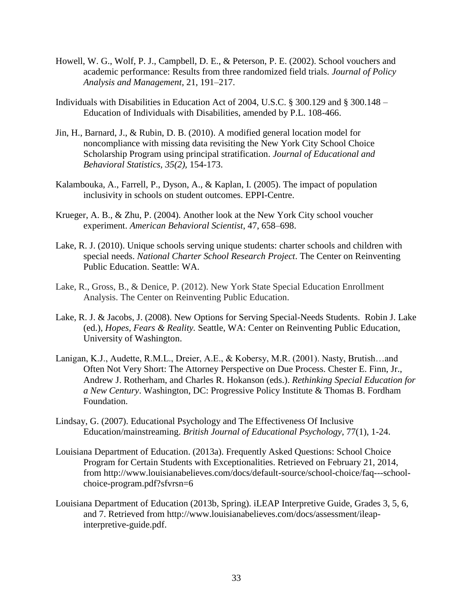- Howell, W. G., Wolf, P. J., Campbell, D. E., & Peterson, P. E. (2002). School vouchers and academic performance: Results from three randomized field trials. *Journal of Policy Analysis and Management*, 21, 191–217.
- Individuals with Disabilities in Education Act of 2004, U.S.C. § 300.129 and § 300.148 Education of Individuals with Disabilities, amended by P.L. 108-466.
- Jin, H., Barnard, J., & Rubin, D. B. (2010). A modified general location model for noncompliance with missing data revisiting the New York City School Choice Scholarship Program using principal stratification. *Journal of Educational and Behavioral Statistics, 35(2),* 154-173.
- Kalambouka, A., Farrell, P., Dyson, A., & Kaplan, I. (2005). The impact of population inclusivity in schools on student outcomes. EPPI-Centre.
- Krueger, A. B., & Zhu, P. (2004). Another look at the New York City school voucher experiment. *American Behavioral Scientist*, 47, 658–698.
- Lake, R. J. (2010). Unique schools serving unique students: charter schools and children with special needs. *National Charter School Research Project*. The Center on Reinventing Public Education. Seattle: WA.
- Lake, R., Gross, B., & Denice, P. (2012). New York State Special Education Enrollment Analysis. The Center on Reinventing Public Education.
- Lake, R. J. & Jacobs, J. (2008). New Options for Serving Special-Needs Students. Robin J. Lake (ed.), *Hopes, Fears & Reality.* Seattle, WA: Center on Reinventing Public Education, University of Washington.
- Lanigan, K.J., Audette, R.M.L., Dreier, A.E., & Kobersy, M.R. (2001). Nasty, Brutish…and Often Not Very Short: The Attorney Perspective on Due Process. Chester E. Finn, Jr., Andrew J. Rotherham, and Charles R. Hokanson (eds.). *Rethinking Special Education for a New Century*. Washington, DC: Progressive Policy Institute & Thomas B. Fordham Foundation.
- Lindsay, G. (2007). Educational Psychology and The Effectiveness Of Inclusive Education/mainstreaming. *British Journal of Educational Psychology*, 77(1), 1-24.
- Louisiana Department of Education. (2013a). Frequently Asked Questions: School Choice Program for Certain Students with Exceptionalities. Retrieved on February 21, 2014, from http://www.louisianabelieves.com/docs/default-source/school-choice/faq---schoolchoice-program.pdf?sfvrsn=6
- Louisiana Department of Education (2013b, Spring). iLEAP Interpretive Guide, Grades 3, 5, 6, and 7. Retrieved from http://www.louisianabelieves.com/docs/assessment/ileapinterpretive-guide.pdf.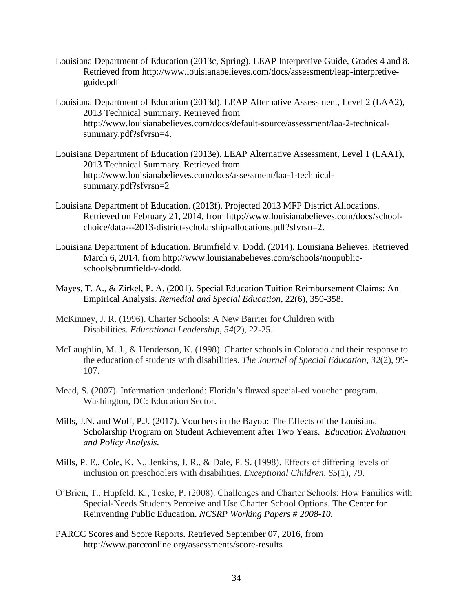- Louisiana Department of Education (2013c, Spring). LEAP Interpretive Guide, Grades 4 and 8. Retrieved from http://www.louisianabelieves.com/docs/assessment/leap-interpretiveguide.pdf
- Louisiana Department of Education (2013d). LEAP Alternative Assessment, Level 2 (LAA2), 2013 Technical Summary. Retrieved from http://www.louisianabelieves.com/docs/default-source/assessment/laa-2-technicalsummary.pdf?sfvrsn=4.
- Louisiana Department of Education (2013e). LEAP Alternative Assessment, Level 1 (LAA1), 2013 Technical Summary. Retrieved from http://www.louisianabelieves.com/docs/assessment/laa-1-technicalsummary.pdf?sfvrsn=2
- Louisiana Department of Education. (2013f). Projected 2013 MFP District Allocations. Retrieved on February 21, 2014, from http://www.louisianabelieves.com/docs/schoolchoice/data---2013-district-scholarship-allocations.pdf?sfvrsn=2.
- Louisiana Department of Education. Brumfield v. Dodd. (2014). Louisiana Believes. Retrieved March 6, 2014, from http://www.louisianabelieves.com/schools/nonpublicschools/brumfield-v-dodd.
- Mayes, T. A., & Zirkel, P. A. (2001). Special Education Tuition Reimbursement Claims: An Empirical Analysis. *Remedial and Special Education*, 22(6), 350-358.
- McKinney, J. R. (1996). Charter Schools: A New Barrier for Children with Disabilities. *Educational Leadership*, *54*(2), 22-25.
- McLaughlin, M. J., & Henderson, K. (1998). Charter schools in Colorado and their response to the education of students with disabilities. *The Journal of Special Education*, *32*(2), 99- 107.
- Mead, S. (2007). Information underload: Florida's flawed special-ed voucher program. Washington, DC: Education Sector.
- Mills, J.N. and Wolf, P.J. (2017). Vouchers in the Bayou: The Effects of the Louisiana Scholarship Program on Student Achievement after Two Years. *Education Evaluation and Policy Analysis.*
- Mills, P. E., Cole, K. N., Jenkins, J. R., & Dale, P. S. (1998). Effects of differing levels of inclusion on preschoolers with disabilities. *Exceptional Children*, *65*(1), 79.
- O'Brien, T., Hupfeld, K., Teske, P. (2008). Challenges and Charter Schools: How Families with Special-Needs Students Perceive and Use Charter School Options. The Center for Reinventing Public Education. *NCSRP Working Papers # 2008-10.*
- PARCC Scores and Score Reports. Retrieved September 07, 2016, from http://www.parcconline.org/assessments/score-results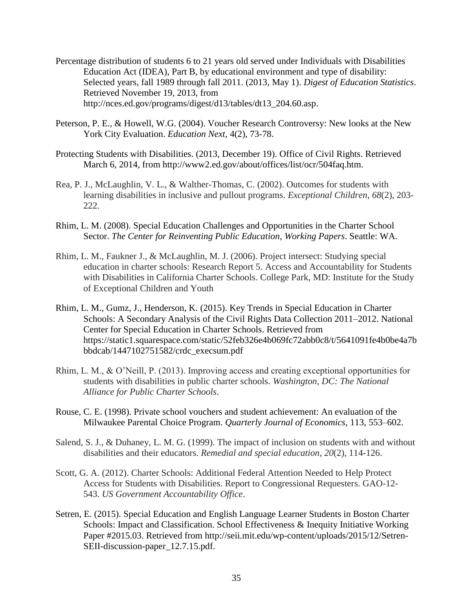- Percentage distribution of students 6 to 21 years old served under Individuals with Disabilities Education Act (IDEA), Part B, by educational environment and type of disability: Selected years, fall 1989 through fall 2011. (2013, May 1). *Digest of Education Statistics*. Retrieved November 19, 2013, from http://nces.ed.gov/programs/digest/d13/tables/dt13\_204.60.asp.
- Peterson, P. E., & Howell, W.G. (2004). Voucher Research Controversy: New looks at the New York City Evaluation. *Education Next*, 4(2), 73-78.
- Protecting Students with Disabilities. (2013, December 19). Office of Civil Rights. Retrieved March 6, 2014, from http://www2.ed.gov/about/offices/list/ocr/504faq.htm.
- Rea, P. J., McLaughlin, V. L., & Walther-Thomas, C. (2002). Outcomes for students with learning disabilities in inclusive and pullout programs. *Exceptional Children*, *68*(2), 203- 222.
- Rhim, L. M. (2008). Special Education Challenges and Opportunities in the Charter School Sector. *The Center for Reinventing Public Education*, *Working Papers*. Seattle: WA.
- Rhim, L. M., Faukner J., & McLaughlin, M. J. (2006). Project intersect: Studying special education in charter schools: Research Report 5. Access and Accountability for Students with Disabilities in California Charter Schools. College Park, MD: Institute for the Study of Exceptional Children and Youth
- Rhim, L. M., Gumz, J., Henderson, K. (2015). Key Trends in Special Education in Charter Schools: A Secondary Analysis of the Civil Rights Data Collection 2011–2012. National Center for Special Education in Charter Schools. Retrieved from https://static1.squarespace.com/static/52feb326e4b069fc72abb0c8/t/5641091fe4b0be4a7b bbdcab/1447102751582/crdc\_execsum.pdf
- Rhim, L. M., & O'Neill, P. (2013). Improving access and creating exceptional opportunities for students with disabilities in public charter schools. *Washington, DC: The National Alliance for Public Charter Schools*.
- Rouse, C. E. (1998). Private school vouchers and student achievement: An evaluation of the Milwaukee Parental Choice Program. *Quarterly Journal of Economics*, 113, 553–602.
- Salend, S. J., & Duhaney, L. M. G. (1999). The impact of inclusion on students with and without disabilities and their educators. *Remedial and special education*, *20*(2), 114-126.
- Scott, G. A. (2012). Charter Schools: Additional Federal Attention Needed to Help Protect Access for Students with Disabilities. Report to Congressional Requesters. GAO-12- 543. *US Government Accountability Office*.
- Setren, E. (2015). Special Education and English Language Learner Students in Boston Charter Schools: Impact and Classification. School Effectiveness & Inequity Initiative Working Paper #2015.03. Retrieved from http://seii.mit.edu/wp-content/uploads/2015/12/Setren-SEII-discussion-paper\_12.7.15.pdf.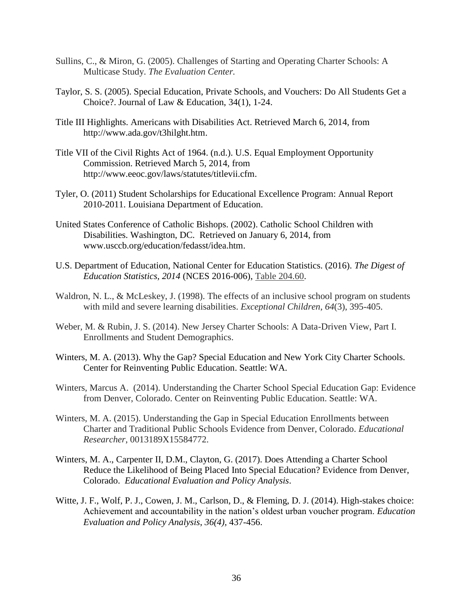- Sullins, C., & Miron, G. (2005). Challenges of Starting and Operating Charter Schools: A Multicase Study. *The Evaluation Center.*
- Taylor, S. S. (2005). Special Education, Private Schools, and Vouchers: Do All Students Get a Choice?. Journal of Law & Education, 34(1), 1-24.
- Title III Highlights. Americans with Disabilities Act. Retrieved March 6, 2014, from http://www.ada.gov/t3hilght.htm.
- Title VII of the Civil Rights Act of 1964. (n.d.). U.S. Equal Employment Opportunity Commission. Retrieved March 5, 2014, from http://www.eeoc.gov/laws/statutes/titlevii.cfm.
- Tyler, O. (2011) Student Scholarships for Educational Excellence Program: Annual Report 2010-2011. Louisiana Department of Education.
- United States Conference of Catholic Bishops. (2002). Catholic School Children with Disabilities. Washington, DC. Retrieved on January 6, 2014, from www.usccb.org/education/fedasst/idea.htm.
- U.S. Department of Education, National Center for Education Statistics. (2016). *The Digest of Education Statistics, 2014* (NCES 2016-006), [Table 204.60.](https://nces.ed.gov/programs/digest/d14/tables/dt14_204.60.asp)
- Waldron, N. L., & McLeskey, J. (1998). The effects of an inclusive school program on students with mild and severe learning disabilities. *Exceptional Children*, *64*(3), 395-405.
- Weber, M. & Rubin, J. S. (2014). New Jersey Charter Schools: A Data-Driven View, Part I. Enrollments and Student Demographics.
- Winters, M. A. (2013). Why the Gap? Special Education and New York City Charter Schools. Center for Reinventing Public Education. Seattle: WA.
- Winters, Marcus A. (2014). Understanding the Charter School Special Education Gap: Evidence from Denver, Colorado. Center on Reinventing Public Education. Seattle: WA.
- Winters, M. A. (2015). Understanding the Gap in Special Education Enrollments between Charter and Traditional Public Schools Evidence from Denver, Colorado. *Educational Researcher*, 0013189X15584772.
- Winters, M. A., Carpenter II, D.M., Clayton, G. (2017). Does Attending a Charter School Reduce the Likelihood of Being Placed Into Special Education? Evidence from Denver, Colorado. *Educational Evaluation and Policy Analysis*.
- Witte, J. F., Wolf, P. J., Cowen, J. M., Carlson, D., & Fleming, D. J. (2014). High-stakes choice: Achievement and accountability in the nation's oldest urban voucher program. *Education Evaluation and Policy Analysis*, *36(4),* 437-456.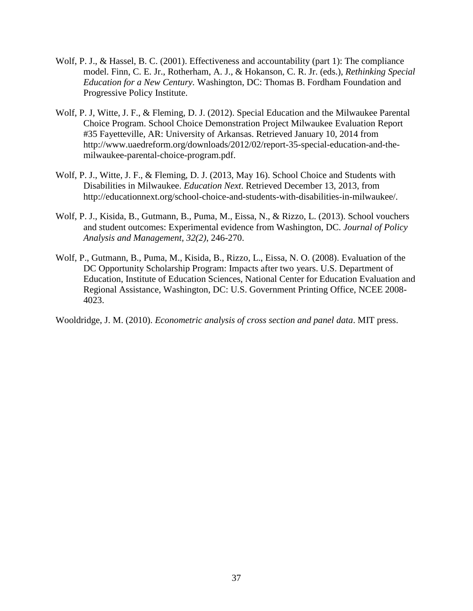- Wolf, P. J., & Hassel, B. C. (2001). Effectiveness and accountability (part 1): The compliance model. Finn, C. E. Jr., Rotherham, A. J., & Hokanson, C. R. Jr. (eds.), *Rethinking Special Education for a New Century.* Washington, DC: Thomas B. Fordham Foundation and Progressive Policy Institute.
- Wolf, P. J, Witte, J. F., & Fleming, D. J. (2012). Special Education and the Milwaukee Parental Choice Program. School Choice Demonstration Project Milwaukee Evaluation Report #35 Fayetteville, AR: University of Arkansas. Retrieved January 10, 2014 from http://www.uaedreform.org/downloads/2012/02/report-35-special-education-and-themilwaukee-parental-choice-program.pdf.
- Wolf, P. J., Witte, J. F., & Fleming, D. J. (2013, May 16). School Choice and Students with Disabilities in Milwaukee. *Education Next*. Retrieved December 13, 2013, from http://educationnext.org/school-choice-and-students-with-disabilities-in-milwaukee/.
- Wolf, P. J., Kisida, B., Gutmann, B., Puma, M., Eissa, N., & Rizzo, L. (2013). School vouchers and student outcomes: Experimental evidence from Washington, DC. *Journal of Policy Analysis and Management, 32(2)*, 246-270.
- Wolf, P., Gutmann, B., Puma, M., Kisida, B., Rizzo, L., Eissa, N. O. (2008). Evaluation of the DC Opportunity Scholarship Program: Impacts after two years. U.S. Department of Education, Institute of Education Sciences, National Center for Education Evaluation and Regional Assistance, Washington, DC: U.S. Government Printing Office, NCEE 2008- 4023.

Wooldridge, J. M. (2010). *Econometric analysis of cross section and panel data*. MIT press.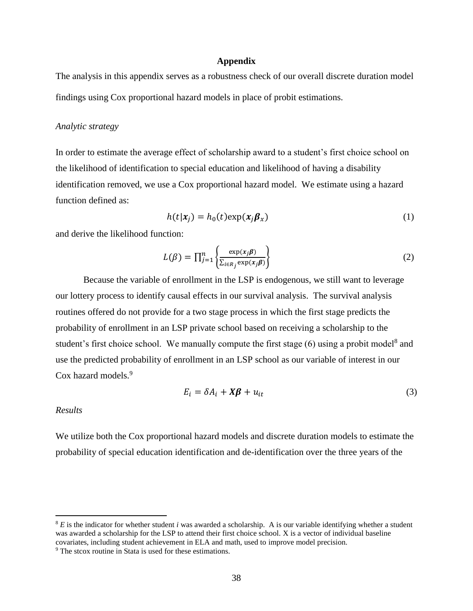#### **Appendix**

The analysis in this appendix serves as a robustness check of our overall discrete duration model findings using Cox proportional hazard models in place of probit estimations.

#### *Analytic strategy*

In order to estimate the average effect of scholarship award to a student's first choice school on the likelihood of identification to special education and likelihood of having a disability identification removed, we use a Cox proportional hazard model. We estimate using a hazard function defined as:

$$
h(t|\mathbf{x}_j) = h_0(t) \exp(\mathbf{x}_j \boldsymbol{\beta}_x)
$$
 (1)

and derive the likelihood function:

$$
L(\beta) = \prod_{j=1}^{n} \left\{ \frac{\exp(x_j \beta)}{\sum_{i \in R_j} \exp(x_j \beta)} \right\}
$$
 (2)

Because the variable of enrollment in the LSP is endogenous, we still want to leverage our lottery process to identify causal effects in our survival analysis. The survival analysis routines offered do not provide for a two stage process in which the first stage predicts the probability of enrollment in an LSP private school based on receiving a scholarship to the student's first choice school. We manually compute the first stage  $(6)$  using a probit model<sup>8</sup> and use the predicted probability of enrollment in an LSP school as our variable of interest in our Cox hazard models.<sup>9</sup>

$$
E_i = \delta A_i + X\beta + u_{it} \tag{3}
$$

#### *Results*

 $\overline{a}$ 

We utilize both the Cox proportional hazard models and discrete duration models to estimate the probability of special education identification and de-identification over the three years of the

<sup>8</sup> *E* is the indicator for whether student *i* was awarded a scholarship. A is our variable identifying whether a student was awarded a scholarship for the LSP to attend their first choice school*.* X is a vector of individual baseline covariates, including student achievement in ELA and math, used to improve model precision.

<sup>9</sup> The stcox routine in Stata is used for these estimations.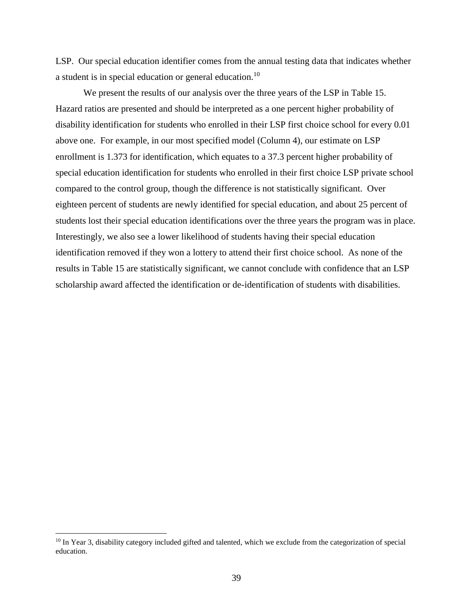LSP. Our special education identifier comes from the annual testing data that indicates whether a student is in special education or general education.<sup>10</sup>

We present the results of our analysis over the three years of the LSP in Table 15. Hazard ratios are presented and should be interpreted as a one percent higher probability of disability identification for students who enrolled in their LSP first choice school for every 0.01 above one. For example, in our most specified model (Column 4), our estimate on LSP enrollment is 1.373 for identification, which equates to a 37.3 percent higher probability of special education identification for students who enrolled in their first choice LSP private school compared to the control group, though the difference is not statistically significant. Over eighteen percent of students are newly identified for special education, and about 25 percent of students lost their special education identifications over the three years the program was in place. Interestingly, we also see a lower likelihood of students having their special education identification removed if they won a lottery to attend their first choice school. As none of the results in Table 15 are statistically significant, we cannot conclude with confidence that an LSP scholarship award affected the identification or de-identification of students with disabilities.

<sup>&</sup>lt;sup>10</sup> In Year 3, disability category included gifted and talented, which we exclude from the categorization of special education.